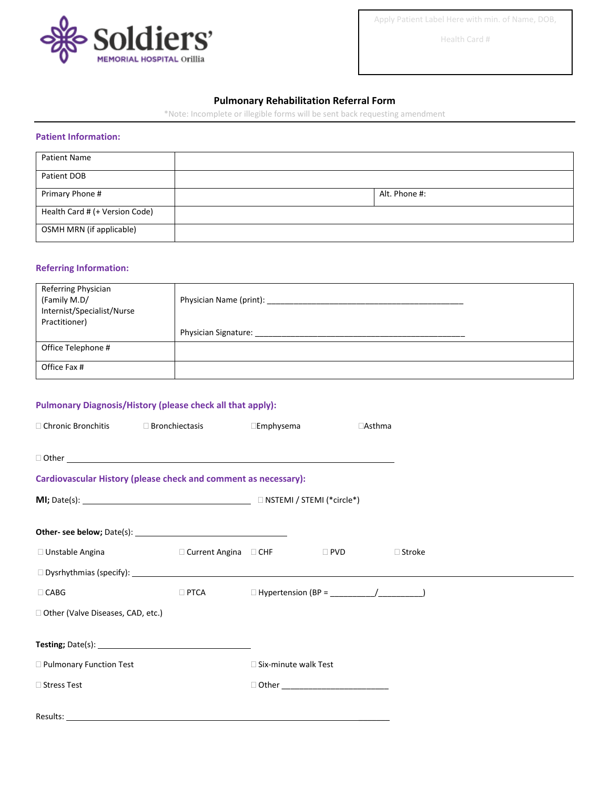

Apply Patient Label Here with min. of Name, DOB,

Health Card #

## **Pulmonary Rehabilitation Referral Form**

\*Note: Incomplete or illegible forms will be sent back requesting amendment

## **Patient Information:**

| <b>Patient Name</b>            |               |
|--------------------------------|---------------|
| Patient DOB                    |               |
| Primary Phone #                | Alt. Phone #: |
| Health Card # (+ Version Code) |               |
| OSMH MRN (if applicable)       |               |

## **Referring Information:**

| Referring Physician<br>(Family M.D/<br>Internist/Specialist/Nurse<br>Practitioner) | Physician Name (print):     |
|------------------------------------------------------------------------------------|-----------------------------|
|                                                                                    | <b>Physician Signature:</b> |
| Office Telephone #                                                                 |                             |
| Office Fax #                                                                       |                             |

## **Pulmonary Diagnosis/History (please check all that apply):**

|                                   | □ Chronic Bronchitis □ Bronchiectasis                           | $\square$ Emphysema    | $\Box$ Asthma |               |  |
|-----------------------------------|-----------------------------------------------------------------|------------------------|---------------|---------------|--|
|                                   |                                                                 |                        |               |               |  |
|                                   | Cardiovascular History (please check and comment as necessary): |                        |               |               |  |
|                                   |                                                                 |                        |               |               |  |
|                                   |                                                                 |                        |               |               |  |
|                                   | □ Unstable Angina and and angina angina ang D CHF               |                        | $\Box$ PVD    | $\Box$ Stroke |  |
|                                   |                                                                 |                        |               |               |  |
| $\Box$ CABG                       |                                                                 |                        |               |               |  |
| Other (Valve Diseases, CAD, etc.) |                                                                 |                        |               |               |  |
|                                   |                                                                 |                        |               |               |  |
| Pulmonary Function Test           |                                                                 | □ Six-minute walk Test |               |               |  |
| □ Stress Test                     |                                                                 |                        |               |               |  |
|                                   |                                                                 |                        |               |               |  |